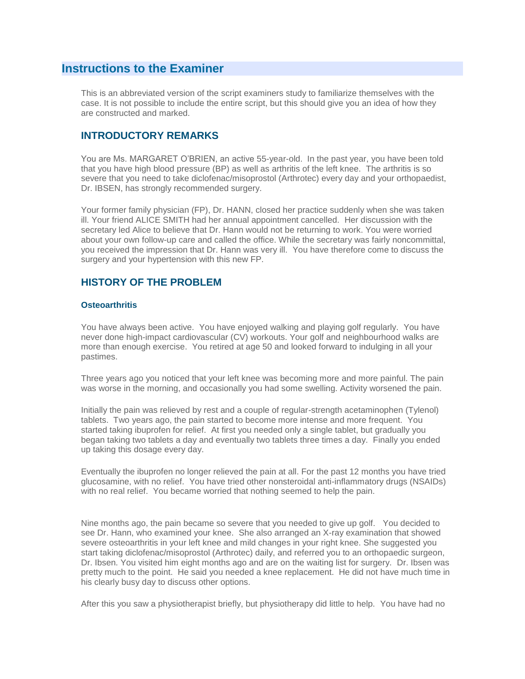# **Instructions to the Examiner**

This is an abbreviated version of the script examiners study to familiarize themselves with the case. It is not possible to include the entire script, but this should give you an idea of how they are constructed and marked.

# **INTRODUCTORY REMARKS**

You are Ms. MARGARET O'BRIEN, an active 55-year-old. In the past year, you have been told that you have high blood pressure (BP) as well as arthritis of the left knee. The arthritis is so severe that you need to take diclofenac/misoprostol (Arthrotec) every day and your orthopaedist, Dr. IBSEN, has strongly recommended surgery.

Your former family physician (FP), Dr. HANN, closed her practice suddenly when she was taken ill. Your friend ALICE SMITH had her annual appointment cancelled. Her discussion with the secretary led Alice to believe that Dr. Hann would not be returning to work. You were worried about your own follow-up care and called the office. While the secretary was fairly noncommittal, you received the impression that Dr. Hann was very ill. You have therefore come to discuss the surgery and your hypertension with this new FP.

## **HISTORY OF THE PROBLEM**

### **Osteoarthritis**

You have always been active. You have enjoyed walking and playing golf regularly. You have never done high-impact cardiovascular (CV) workouts. Your golf and neighbourhood walks are more than enough exercise. You retired at age 50 and looked forward to indulging in all your pastimes.

Three years ago you noticed that your left knee was becoming more and more painful. The pain was worse in the morning, and occasionally you had some swelling. Activity worsened the pain.

Initially the pain was relieved by rest and a couple of regular-strength acetaminophen (Tylenol) tablets. Two years ago, the pain started to become more intense and more frequent. You started taking ibuprofen for relief. At first you needed only a single tablet, but gradually you began taking two tablets a day and eventually two tablets three times a day. Finally you ended up taking this dosage every day.

Eventually the ibuprofen no longer relieved the pain at all. For the past 12 months you have tried glucosamine, with no relief. You have tried other nonsteroidal anti-inflammatory drugs (NSAIDs) with no real relief. You became worried that nothing seemed to help the pain.

Nine months ago, the pain became so severe that you needed to give up golf. You decided to see Dr. Hann, who examined your knee. She also arranged an X-ray examination that showed severe osteoarthritis in your left knee and mild changes in your right knee. She suggested you start taking diclofenac/misoprostol (Arthrotec) daily, and referred you to an orthopaedic surgeon, Dr. Ibsen. You visited him eight months ago and are on the waiting list for surgery. Dr. Ibsen was pretty much to the point. He said you needed a knee replacement. He did not have much time in his clearly busy day to discuss other options.

After this you saw a physiotherapist briefly, but physiotherapy did little to help. You have had no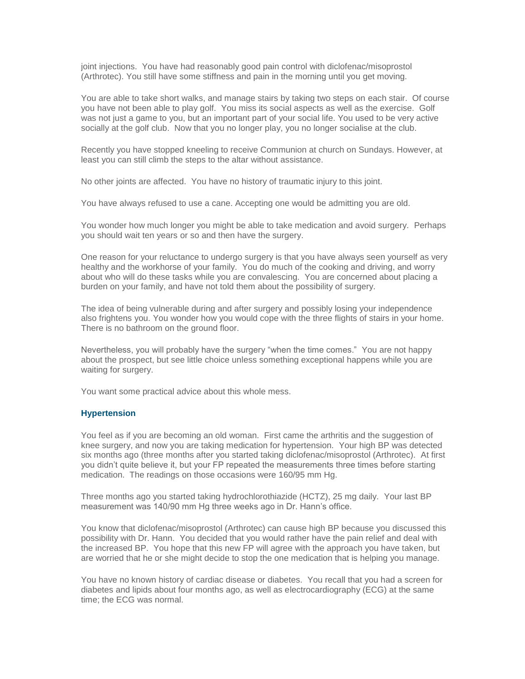joint injections. You have had reasonably good pain control with diclofenac/misoprostol (Arthrotec). You still have some stiffness and pain in the morning until you get moving.

You are able to take short walks, and manage stairs by taking two steps on each stair. Of course you have not been able to play golf. You miss its social aspects as well as the exercise. Golf was not just a game to you, but an important part of your social life. You used to be very active socially at the golf club. Now that you no longer play, you no longer socialise at the club.

Recently you have stopped kneeling to receive Communion at church on Sundays. However, at least you can still climb the steps to the altar without assistance.

No other joints are affected. You have no history of traumatic injury to this joint.

You have always refused to use a cane. Accepting one would be admitting you are old.

You wonder how much longer you might be able to take medication and avoid surgery. Perhaps you should wait ten years or so and then have the surgery.

One reason for your reluctance to undergo surgery is that you have always seen yourself as very healthy and the workhorse of your family. You do much of the cooking and driving, and worry about who will do these tasks while you are convalescing. You are concerned about placing a burden on your family, and have not told them about the possibility of surgery.

The idea of being vulnerable during and after surgery and possibly losing your independence also frightens you. You wonder how you would cope with the three flights of stairs in your home. There is no bathroom on the ground floor.

Nevertheless, you will probably have the surgery "when the time comes." You are not happy about the prospect, but see little choice unless something exceptional happens while you are waiting for surgery.

You want some practical advice about this whole mess.

#### **Hypertension**

You feel as if you are becoming an old woman. First came the arthritis and the suggestion of knee surgery, and now you are taking medication for hypertension. Your high BP was detected six months ago (three months after you started taking diclofenac/misoprostol (Arthrotec). At first you didn't quite believe it, but your FP repeated the measurements three times before starting medication. The readings on those occasions were 160/95 mm Hg.

Three months ago you started taking hydrochlorothiazide (HCTZ), 25 mg daily. Your last BP measurement was 140/90 mm Hg three weeks ago in Dr. Hann's office.

You know that diclofenac/misoprostol (Arthrotec) can cause high BP because you discussed this possibility with Dr. Hann. You decided that you would rather have the pain relief and deal with the increased BP. You hope that this new FP will agree with the approach you have taken, but are worried that he or she might decide to stop the one medication that is helping you manage.

You have no known history of cardiac disease or diabetes. You recall that you had a screen for diabetes and lipids about four months ago, as well as electrocardiography (ECG) at the same time; the ECG was normal.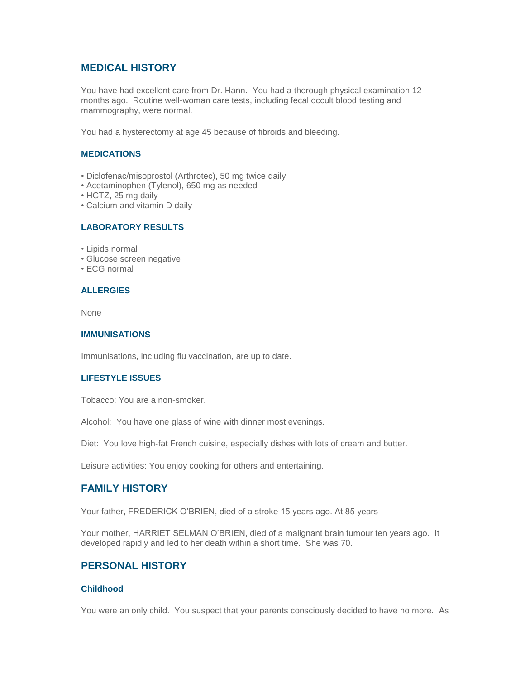## **MEDICAL HISTORY**

You have had excellent care from Dr. Hann. You had a thorough physical examination 12 months ago. Routine well-woman care tests, including fecal occult blood testing and mammography, were normal.

You had a hysterectomy at age 45 because of fibroids and bleeding.

### **MEDICATIONS**

- Diclofenac/misoprostol (Arthrotec), 50 mg twice daily
- Acetaminophen (Tylenol), 650 mg as needed
- HCTZ, 25 mg daily
- Calcium and vitamin D daily

### **LABORATORY RESULTS**

- Lipids normal
- Glucose screen negative
- ECG normal

### **ALLERGIES**

None

### **IMMUNISATIONS**

Immunisations, including flu vaccination, are up to date.

### **LIFESTYLE ISSUES**

Tobacco: You are a non-smoker.

Alcohol: You have one glass of wine with dinner most evenings.

Diet: You love high-fat French cuisine, especially dishes with lots of cream and butter.

Leisure activities: You enjoy cooking for others and entertaining.

### **FAMILY HISTORY**

Your father, FREDERICK O'BRIEN, died of a stroke 15 years ago. At 85 years

Your mother, HARRIET SELMAN O'BRIEN, died of a malignant brain tumour ten years ago. It developed rapidly and led to her death within a short time. She was 70.

# **PERSONAL HISTORY**

### **Childhood**

You were an only child. You suspect that your parents consciously decided to have no more. As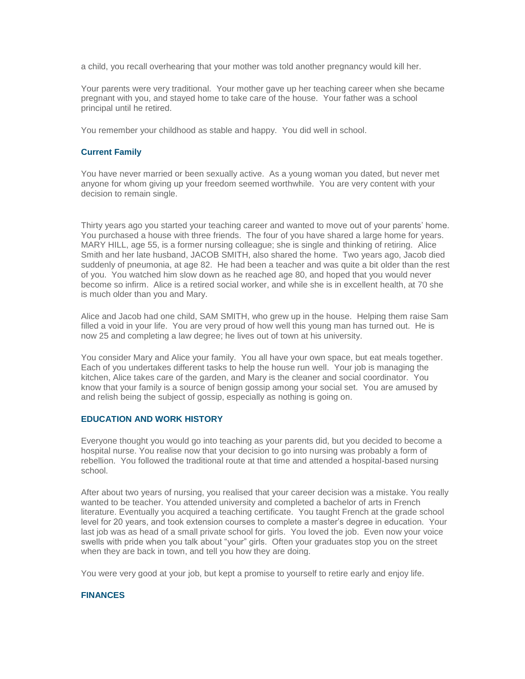a child, you recall overhearing that your mother was told another pregnancy would kill her.

Your parents were very traditional. Your mother gave up her teaching career when she became pregnant with you, and stayed home to take care of the house. Your father was a school principal until he retired.

You remember your childhood as stable and happy. You did well in school.

### **Current Family**

You have never married or been sexually active. As a young woman you dated, but never met anyone for whom giving up your freedom seemed worthwhile. You are very content with your decision to remain single.

Thirty years ago you started your teaching career and wanted to move out of your parents' home. You purchased a house with three friends. The four of you have shared a large home for years. MARY HILL, age 55, is a former nursing colleague; she is single and thinking of retiring. Alice Smith and her late husband, JACOB SMITH, also shared the home. Two years ago, Jacob died suddenly of pneumonia, at age 82. He had been a teacher and was quite a bit older than the rest of you. You watched him slow down as he reached age 80, and hoped that you would never become so infirm. Alice is a retired social worker, and while she is in excellent health, at 70 she is much older than you and Mary.

Alice and Jacob had one child, SAM SMITH, who grew up in the house. Helping them raise Sam filled a void in your life. You are very proud of how well this young man has turned out. He is now 25 and completing a law degree; he lives out of town at his university.

You consider Mary and Alice your family. You all have your own space, but eat meals together. Each of you undertakes different tasks to help the house run well. Your job is managing the kitchen, Alice takes care of the garden, and Mary is the cleaner and social coordinator. You know that your family is a source of benign gossip among your social set. You are amused by and relish being the subject of gossip, especially as nothing is going on.

### **EDUCATION AND WORK HISTORY**

Everyone thought you would go into teaching as your parents did, but you decided to become a hospital nurse. You realise now that your decision to go into nursing was probably a form of rebellion. You followed the traditional route at that time and attended a hospital-based nursing school.

After about two years of nursing, you realised that your career decision was a mistake. You really wanted to be teacher. You attended university and completed a bachelor of arts in French literature. Eventually you acquired a teaching certificate. You taught French at the grade school level for 20 years, and took extension courses to complete a master's degree in education. Your last job was as head of a small private school for girls. You loved the job. Even now your voice swells with pride when you talk about "your" girls. Often your graduates stop you on the street when they are back in town, and tell you how they are doing.

You were very good at your job, but kept a promise to yourself to retire early and enjoy life.

### **FINANCES**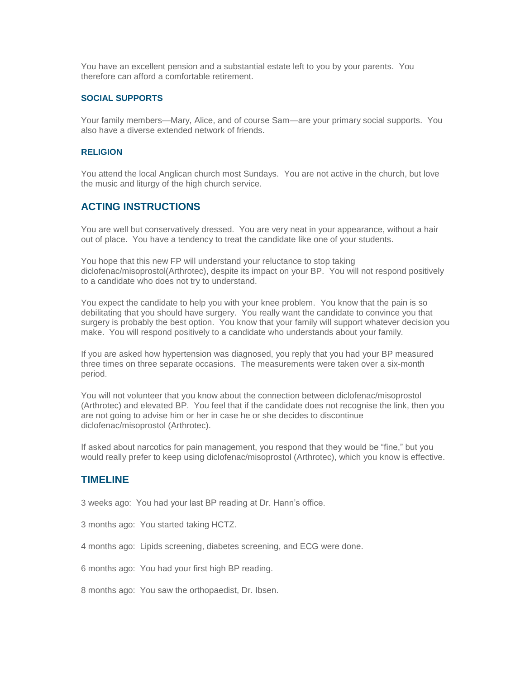You have an excellent pension and a substantial estate left to you by your parents. You therefore can afford a comfortable retirement.

#### **SOCIAL SUPPORTS**

Your family members—Mary, Alice, and of course Sam—are your primary social supports. You also have a diverse extended network of friends.

#### **RELIGION**

You attend the local Anglican church most Sundays. You are not active in the church, but love the music and liturgy of the high church service.

### **ACTING INSTRUCTIONS**

You are well but conservatively dressed. You are very neat in your appearance, without a hair out of place. You have a tendency to treat the candidate like one of your students.

You hope that this new FP will understand your reluctance to stop taking diclofenac/misoprostol(Arthrotec), despite its impact on your BP. You will not respond positively to a candidate who does not try to understand.

You expect the candidate to help you with your knee problem. You know that the pain is so debilitating that you should have surgery. You really want the candidate to convince you that surgery is probably the best option. You know that your family will support whatever decision you make. You will respond positively to a candidate who understands about your family.

If you are asked how hypertension was diagnosed, you reply that you had your BP measured three times on three separate occasions. The measurements were taken over a six-month period.

You will not volunteer that you know about the connection between diclofenac/misoprostol (Arthrotec) and elevated BP. You feel that if the candidate does not recognise the link, then you are not going to advise him or her in case he or she decides to discontinue diclofenac/misoprostol (Arthrotec).

If asked about narcotics for pain management, you respond that they would be "fine," but you would really prefer to keep using diclofenac/misoprostol (Arthrotec), which you know is effective.

### **TIMELINE**

3 weeks ago: You had your last BP reading at Dr. Hann's office.

3 months ago: You started taking HCTZ.

4 months ago: Lipids screening, diabetes screening, and ECG were done.

6 months ago: You had your first high BP reading.

8 months ago: You saw the orthopaedist, Dr. Ibsen.